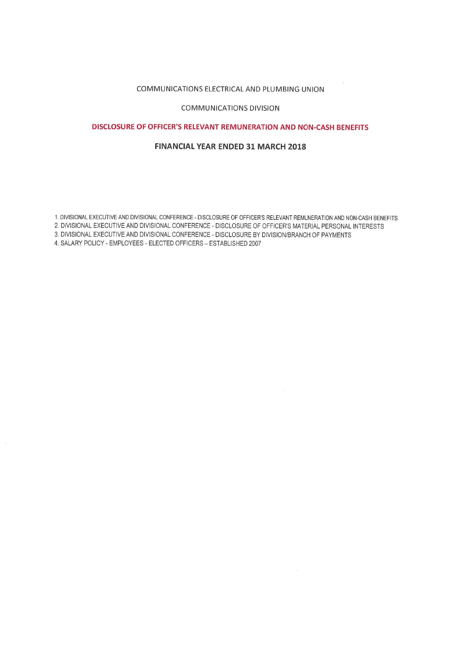# COMMUNICATIONSELECTRICALAND PLUMBING UNION

#### COMMUNICATIONS DIVISION

## DISCLOSURE OF OFFICER'S RELEVANT REMUNERATION AND NON-CASH BENEFITS

## FINANCIALYEAR ENDED 31 MARCH 2018

I. DIVISIONALEXECUTIVE AND DIVISIONAL CONFERENCE - DISCLOSURE OF OFFICERS RELEVANT REMUNERATION AND NON-CASH BENEFITS

2. DIVISIONAL EXECUTIVEAND DIVISIONALCONFERENCE - DISCLOSURE OF OFFICERS MATERIAL PERSONALINTERESTS 3. DIVISIONAL EXECUTIVEAND DIVISIONALCONFERENCE- DISCLOSURE BY DIVISION/BRANCH OF PAYMENTS

4. SALARY POLICY - EMPLOYEES - ELECTEDOFFICERS-ESTABLISHED 2007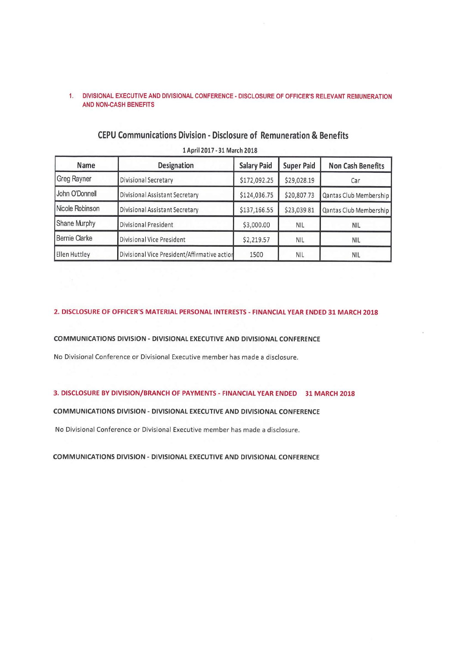# 1. DIVISIONAL EXECUTIVE AND DIVISIONAL CONFERENCE - DISCLOSURE OF OFFICER'S RELEVANT REMUNERATION AND NON. CASH BENEFITS

| Name            | Designation                                  | <b>Salary Paid</b> | <b>Super Paid</b> | <b>Non Cash Benefits</b> |
|-----------------|----------------------------------------------|--------------------|-------------------|--------------------------|
| Greg Rayner     | Divisional Secretary                         | \$172,092.25       | \$29,028.19       | Car                      |
| John O'Donnell  | Divisional Assistant Secretary               | \$124,036.75       | \$20,807.73       | Qantas Club Membership   |
| Nicole Robinson | Divisional Assistant Secretary               | \$137,166.55       | \$23,039.81       | Qantas Club Membership   |
| Shane Murphy    | <b>Divisional President</b>                  | \$3,000.00         | <b>NIL</b>        | <b>NIL</b>               |
| Bernie Clarke   | Divisional Vice President                    | \$2,219.57         | <b>NIL</b>        | <b>NIL</b>               |
| Ellen Huttley   | Divisional Vice President/Affirmative action | 1500               | <b>NIL</b>        | <b>NIL</b>               |

# CEPU Communications Division - Disclosure of Remuneration & Benef IAPri12017- 31 March 2018

#### 2. DISCLOSURE OF OFFICER'S MATERIAL PERSONAL INTERESTS - FINANCIAL YEAR ENDED 31 MARCH 2018

## COMMUNICATIONS DIVISION - DIVISIONALEXECUTIVE AND DIVISIONALCONFERENCE

NO Divisional Conference or Divisional Executive member has made a disclosure.

#### 3. DISCLOSURE BY DIVISION/BRANCH OF PAYMENTS - FINANCIAL YEAR ENDED 31 MARCH 2018

# COMMUNICATIONS DIVISION - DIVISIONALEXECUTIVEAND DIVISIONALCONFERENCE

NO Divisional Conference or Divisional Executive member has made a disclosure.

# COMMUNICATIONS DIVISION - DIVISIONALEXECUTIVE AND DIVISIONAL CONFERENCE